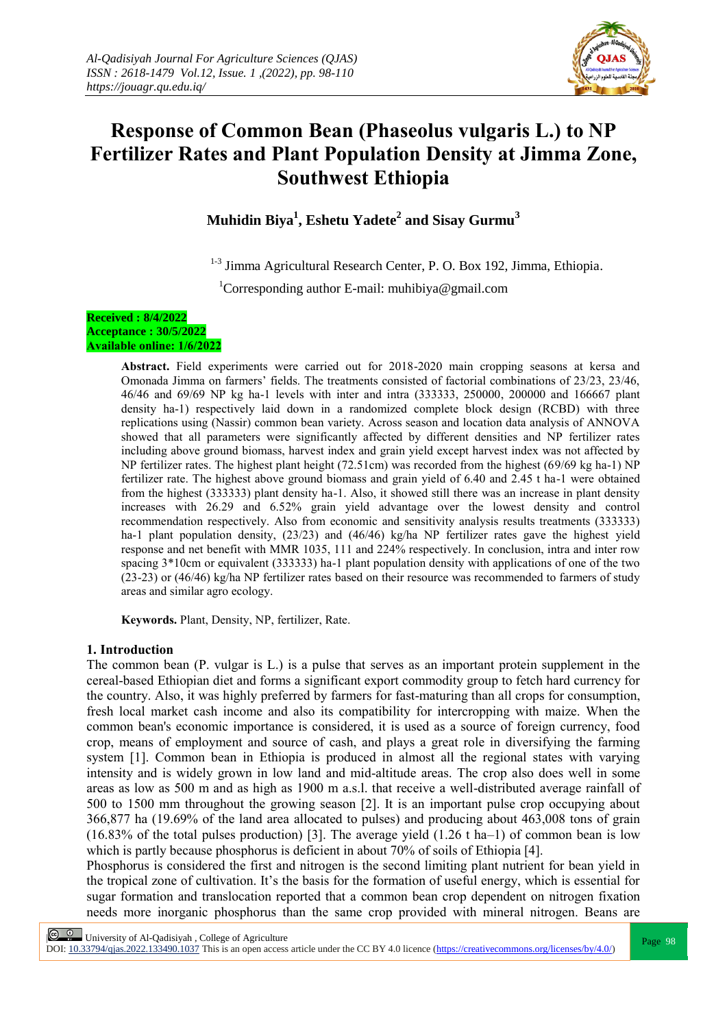

# **Response of Common Bean (Phaseolus vulgaris L.) to NP Fertilizer Rates and Plant Population Density at Jimma Zone, Southwest Ethiopia**

**Muhidin Biya<sup>1</sup> , Eshetu Yadete<sup>2</sup> and Sisay Gurmu<sup>3</sup>**

<sup>1-3</sup> Jimma Agricultural Research Center, P. O. Box 192, Jimma, Ethiopia.

<sup>1</sup>Corresponding author E-mail: [muhibiya@gmail.com](mailto:muhibiya@gmail.com)

#### **Received : 8/4/2022 Acceptance : 30/5/2022 Available online: 1/6/2022**

**Abstract.** Field experiments were carried out for 2018-2020 main cropping seasons at kersa and Omonada Jimma on farmers' fields. The treatments consisted of factorial combinations of 23/23, 23/46, 46/46 and 69/69 NP kg ha-1 levels with inter and intra (333333, 250000, 200000 and 166667 plant density ha-1) respectively laid down in a randomized complete block design (RCBD) with three replications using (Nassir) common bean variety. Across season and location data analysis of ANNOVA showed that all parameters were significantly affected by different densities and NP fertilizer rates including above ground biomass, harvest index and grain yield except harvest index was not affected by NP fertilizer rates. The highest plant height (72.51cm) was recorded from the highest (69/69 kg ha-1) NP fertilizer rate. The highest above ground biomass and grain yield of 6.40 and 2.45 t ha-1 were obtained from the highest (333333) plant density ha-1. Also, it showed still there was an increase in plant density increases with 26.29 and 6.52% grain yield advantage over the lowest density and control recommendation respectively. Also from economic and sensitivity analysis results treatments (333333) ha-1 plant population density,  $(23/23)$  and  $(46/46)$  kg/ha NP fertilizer rates gave the highest yield response and net benefit with MMR 1035, 111 and 224% respectively. In conclusion, intra and inter row spacing 3\*10cm or equivalent (333333) ha-1 plant population density with applications of one of the two (23-23) or (46/46) kg/ha NP fertilizer rates based on their resource was recommended to farmers of study areas and similar agro ecology.

**Keywords.** Plant, Density, NP, fertilizer, Rate.

# **1. Introduction**

The common bean (P. vulgar is L.) is a pulse that serves as an important protein supplement in the cereal-based Ethiopian diet and forms a significant export commodity group to fetch hard currency for the country. Also, it was highly preferred by farmers for fast-maturing than all crops for consumption, fresh local market cash income and also its compatibility for intercropping with maize. When the common bean's economic importance is considered, it is used as a source of foreign currency, food crop, means of employment and source of cash, and plays a great role in diversifying the farming system [1]. Common bean in Ethiopia is produced in almost all the regional states with varying intensity and is widely grown in low land and mid-altitude areas. The crop also does well in some areas as low as 500 m and as high as 1900 m a.s.l. that receive a well-distributed average rainfall of 500 to 1500 mm throughout the growing season [2]. It is an important pulse crop occupying about 366,877 ha (19.69% of the land area allocated to pulses) and producing about 463,008 tons of grain (16.83% of the total pulses production) [3]. The average yield (1.26 t ha–1) of common bean is low which is partly because phosphorus is deficient in about 70% of soils of Ethiopia [4].

Phosphorus is considered the first and nitrogen is the second limiting plant nutrient for bean yield in the tropical zone of cultivation. It's the basis for the formation of useful energy, which is essential for sugar formation and translocation reported that a common bean crop dependent on nitrogen fixation needs more inorganic phosphorus than the same crop provided with mineral nitrogen. Beans are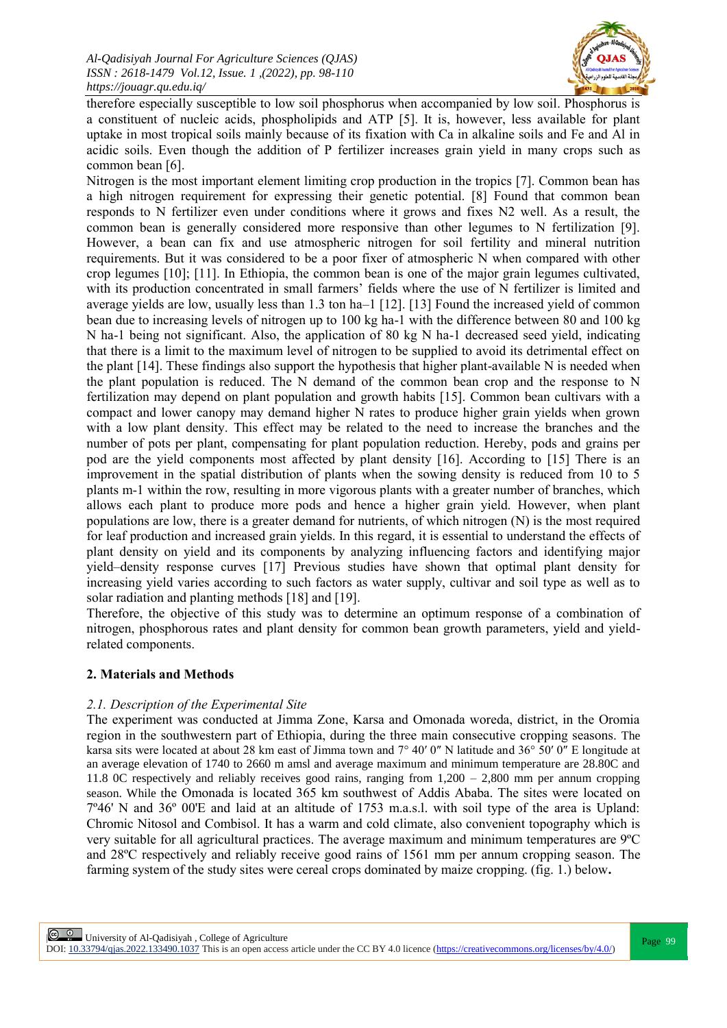

therefore especially susceptible to low soil phosphorus when accompanied by low soil. Phosphorus is a constituent of nucleic acids, phospholipids and ATP [5]. It is, however, less available for plant uptake in most tropical soils mainly because of its fixation with Ca in alkaline soils and Fe and Al in acidic soils. Even though the addition of P fertilizer increases grain yield in many crops such as common bean [6].

Nitrogen is the most important element limiting crop production in the tropics [7]. Common bean has a high nitrogen requirement for expressing their genetic potential. [8] Found that common bean responds to N fertilizer even under conditions where it grows and fixes N2 well. As a result, the common bean is generally considered more responsive than other legumes to N fertilization [9]. However, a bean can fix and use atmospheric nitrogen for soil fertility and mineral nutrition requirements. But it was considered to be a poor fixer of atmospheric N when compared with other crop legumes [10]; [11]. In Ethiopia, the common bean is one of the major grain legumes cultivated, with its production concentrated in small farmers' fields where the use of N fertilizer is limited and average yields are low, usually less than 1.3 ton ha–1 [12]. [13] Found the increased yield of common bean due to increasing levels of nitrogen up to 100 kg ha-1 with the difference between 80 and 100 kg N ha-1 being not significant. Also, the application of 80 kg N ha-1 decreased seed yield, indicating that there is a limit to the maximum level of nitrogen to be supplied to avoid its detrimental effect on the plant [14]. These findings also support the hypothesis that higher plant-available N is needed when the plant population is reduced. The N demand of the common bean crop and the response to N fertilization may depend on plant population and growth habits [15]. Common bean cultivars with a compact and lower canopy may demand higher N rates to produce higher grain yields when grown with a low plant density. This effect may be related to the need to increase the branches and the number of pots per plant, compensating for plant population reduction. Hereby, pods and grains per pod are the yield components most affected by plant density [16]. According to [15] There is an improvement in the spatial distribution of plants when the sowing density is reduced from 10 to 5 plants m-1 within the row, resulting in more vigorous plants with a greater number of branches, which allows each plant to produce more pods and hence a higher grain yield. However, when plant populations are low, there is a greater demand for nutrients, of which nitrogen (N) is the most required for leaf production and increased grain yields. In this regard, it is essential to understand the effects of plant density on yield and its components by analyzing influencing factors and identifying major yield–density response curves [17] Previous studies have shown that optimal plant density for increasing yield varies according to such factors as water supply, cultivar and soil type as well as to solar radiation and planting methods [18] and [19].

Therefore, the objective of this study was to determine an optimum response of a combination of nitrogen, phosphorous rates and plant density for common bean growth parameters, yield and yieldrelated components.

# **2. Materials and Methods**

# *2.1. Description of the Experimental Site*

The experiment was conducted at Jimma Zone, Karsa and Omonada woreda, district, in the Oromia region in the southwestern part of Ethiopia, during the three main consecutive cropping seasons. The karsa sits were located at about 28 km east of Jimma town and 7° 40′ 0″ N latitude and 36° 50′ 0″ E longitude at an average elevation of 1740 to 2660 m amsl and average maximum and minimum temperature are 28.80C and 11.8 0C respectively and reliably receives good rains, ranging from 1,200 – 2,800 mm per annum cropping season. While the Omonada is located 365 km southwest of Addis Ababa. The sites were located on 7º46' N and 36º 00'E and laid at an altitude of 1753 m.a.s.l. with soil type of the area is Upland: Chromic Nitosol and Combisol. It has a warm and cold climate, also convenient topography which is very suitable for all agricultural practices. The average maximum and minimum temperatures are 9ºC and 28ºC respectively and reliably receive good rains of 1561 mm per annum cropping season. The farming system of the study sites were cereal crops dominated by maize cropping. (fig. 1.) below**.**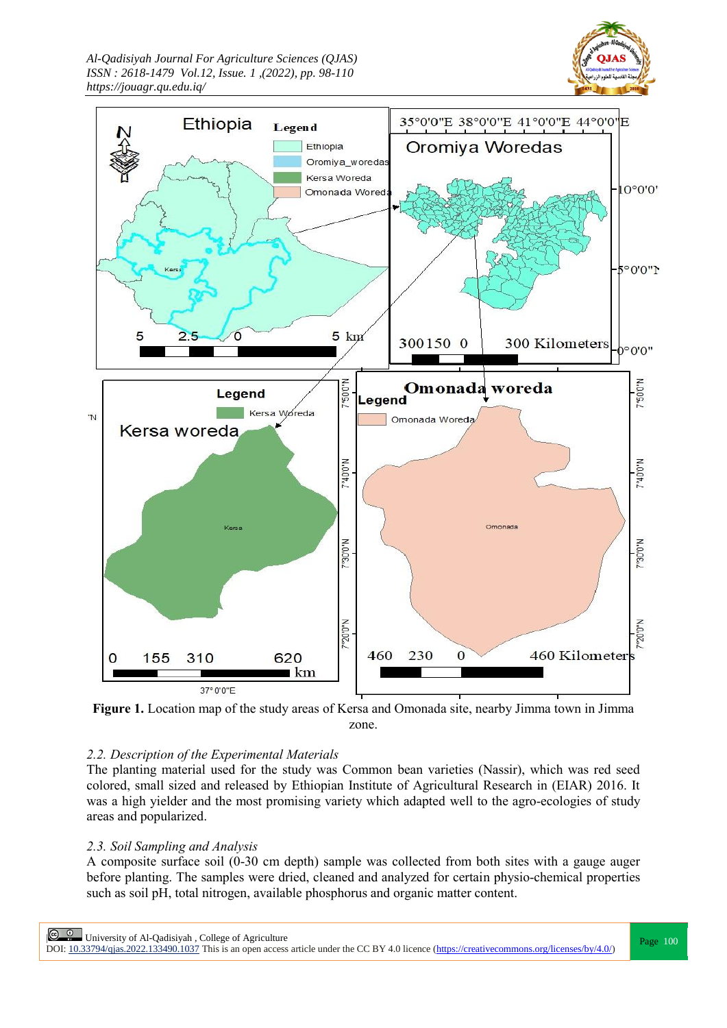*Al-Qadisiyah Journal For Agriculture Sciences (QJAS) ISSN : 2618-1479 Vol.12, Issue. 1 ,(2022), pp. 98-110 https://jouagr.qu.edu.iq/*





**Figure 1.** Location map of the study areas of Kersa and Omonada site, nearby Jimma town in Jimma zone.

## *2.2. Description of the Experimental Materials*

The planting material used for the study was Common bean varieties (Nassir), which was red seed colored, small sized and released by Ethiopian Institute of Agricultural Research in (EIAR) 2016. It was a high yielder and the most promising variety which adapted well to the agro-ecologies of study areas and popularized.

## *2.3. Soil Sampling and Analysis*

A composite surface soil (0-30 cm depth) sample was collected from both sites with a gauge auger before planting. The samples were dried, cleaned and analyzed for certain physio-chemical properties such as soil pH, total nitrogen, available phosphorus and organic matter content.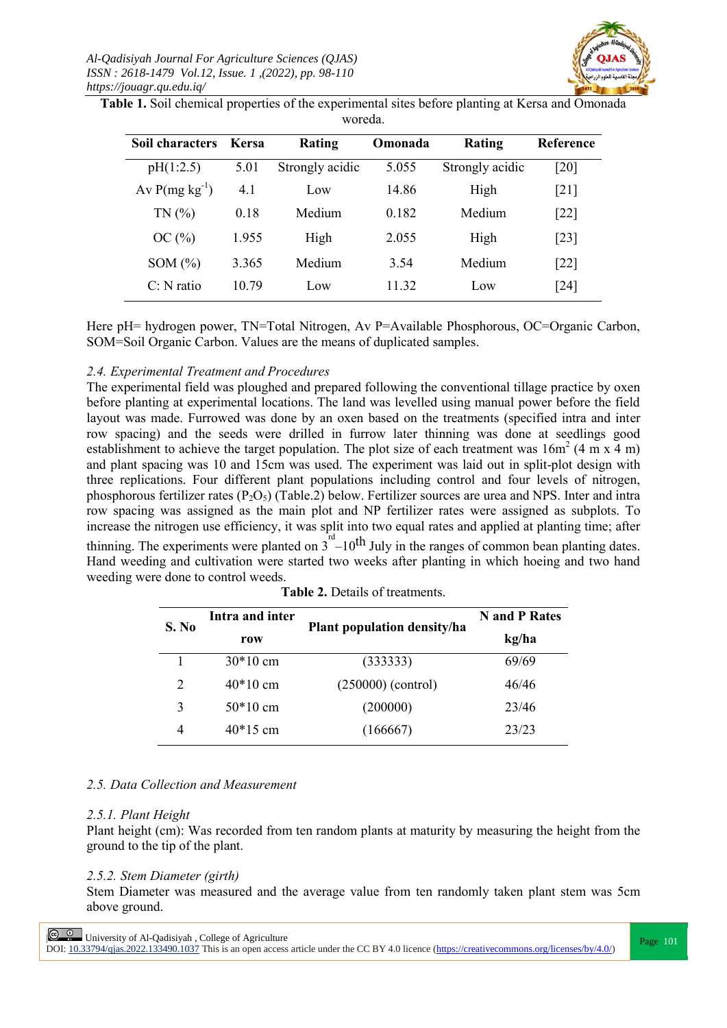

**Table 1.** Soil chemical properties of the experimental sites before planting at Kersa and Omonada woreda.

| Soil characters    | Kersa | <b>Rating</b>   | Omonada | Rating          | <b>Reference</b>   |
|--------------------|-------|-----------------|---------|-----------------|--------------------|
| pH(1:2.5)          | 5.01  | Strongly acidic | 5.055   | Strongly acidic | [20]               |
| Av $P(mg kg^{-1})$ | 4.1   | Low             | 14.86   | High            | [21]               |
| TN(%               | 0.18  | Medium          | 0.182   | Medium          | $\lceil 22 \rceil$ |
| OC(%)              | 1.955 | High            | 2.055   | High            | $\lceil 23 \rceil$ |
| SOM $(\%)$         | 3.365 | Medium          | 3.54    | Medium          | $\lceil 22 \rceil$ |
| $C: N$ ratio       | 10.79 | Low             | 11 32   | Low             | $\lceil 24 \rceil$ |

Here pH= hydrogen power, TN=Total Nitrogen, Av P=Available Phosphorous, OC=Organic Carbon, SOM=Soil Organic Carbon. Values are the means of duplicated samples.

## *2.4. Experimental Treatment and Procedures*

The experimental field was ploughed and prepared following the conventional tillage practice by oxen before planting at experimental locations. The land was levelled using manual power before the field layout was made. Furrowed was done by an oxen based on the treatments (specified intra and inter row spacing) and the seeds were drilled in furrow later thinning was done at seedlings good establishment to achieve the target population. The plot size of each treatment was  $16m^2$  (4 m x 4 m) and plant spacing was 10 and 15cm was used. The experiment was laid out in split-plot design with three replications. Four different plant populations including control and four levels of nitrogen, phosphorous fertilizer rates  $(P_2O_5)$  (Table.2) below. Fertilizer sources are urea and NPS. Inter and intra row spacing was assigned as the main plot and NP fertilizer rates were assigned as subplots. To increase the nitrogen use efficiency, it was split into two equal rates and applied at planting time; after thinning. The experiments were planted on  $3<sup>rd</sup> - 10<sup>th</sup>$  July in the ranges of common bean planting dates. Hand weeding and cultivation were started two weeks after planting in which hoeing and two hand weeding were done to control weeds.

| S. No | Intra and inter |                             | N and P Rates |  |
|-------|-----------------|-----------------------------|---------------|--|
|       | row             | Plant population density/ha | kg/ha         |  |
|       | $30*10$ cm      | (333333)                    | 69/69         |  |
| 2     | $40*10$ cm      | $(250000)$ (control)        | 46/46         |  |
| 3     | $50*10$ cm      | (200000)                    | 23/46         |  |
| 4     | $40*15$ cm      | (166667)                    | 23/23         |  |

**Table 2.** Details of treatments.

## *2.5. Data Collection and Measurement*

## *2.5.1. Plant Height*

Plant height (cm): Was recorded from ten random plants at maturity by measuring the height from the ground to the tip of the plant.

## *2.5.2. Stem Diameter (girth)*

Stem Diameter was measured and the average value from ten randomly taken plant stem was 5cm above ground.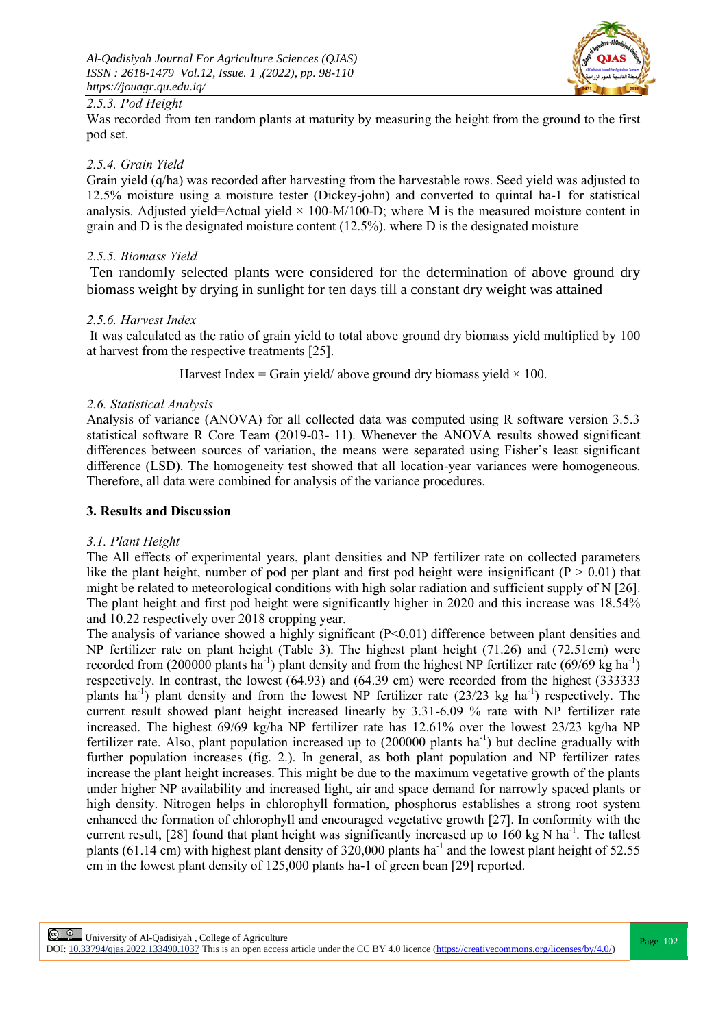

# *2.5.3. Pod Height*

Was recorded from ten random plants at maturity by measuring the height from the ground to the first pod set.

## *2.5.4. Grain Yield*

Grain yield (q/ha) was recorded after harvesting from the harvestable rows. Seed yield was adjusted to 12.5% moisture using a moisture tester (Dickey-john) and converted to quintal ha-1 for statistical analysis. Adjusted yield=Actual yield  $\times$  100-M/100-D; where M is the measured moisture content in grain and D is the designated moisture content  $(12.5\%)$ . where D is the designated moisture

## *2.5.5. Biomass Yield*

Ten randomly selected plants were considered for the determination of above ground dry biomass weight by drying in sunlight for ten days till a constant dry weight was attained

## *2.5.6. Harvest Index*

It was calculated as the ratio of grain yield to total above ground dry biomass yield multiplied by 100 at harvest from the respective treatments [25].

Harvest Index = Grain yield/ above ground dry biomass yield  $\times$  100.

## *2.6. Statistical Analysis*

Analysis of variance (ANOVA) for all collected data was computed using R software version 3.5.3 statistical software R Core Team (2019-03- 11). Whenever the ANOVA results showed significant differences between sources of variation, the means were separated using Fisher's least significant difference (LSD). The homogeneity test showed that all location-year variances were homogeneous. Therefore, all data were combined for analysis of the variance procedures.

## **3. Results and Discussion**

## *3.1. Plant Height*

The All effects of experimental years, plant densities and NP fertilizer rate on collected parameters like the plant height, number of pod per plant and first pod height were insignificant ( $P > 0.01$ ) that might be related to meteorological conditions with high solar radiation and sufficient supply of N [26]. The plant height and first pod height were significantly higher in 2020 and this increase was 18.54% and 10.22 respectively over 2018 cropping year.

The analysis of variance showed a highly significant (P<0.01) difference between plant densities and NP fertilizer rate on plant height (Table 3). The highest plant height (71.26) and (72.51cm) were recorded from (200000 plants ha<sup>-1</sup>) plant density and from the highest NP fertilizer rate (69/69 kg ha<sup>-1</sup>) respectively. In contrast, the lowest (64.93) and (64.39 cm) were recorded from the highest (333333 plants ha<sup>-1</sup>) plant density and from the lowest NP fertilizer rate  $(23/23 \text{ kg } \text{ha}^{-1})$  respectively. The current result showed plant height increased linearly by 3.31-6.09 % rate with NP fertilizer rate increased. The highest 69/69 kg/ha NP fertilizer rate has 12.61% over the lowest 23/23 kg/ha NP fertilizer rate. Also, plant population increased up to (200000 plants ha<sup>-1</sup>) but decline gradually with further population increases (fig. 2.). In general, as both plant population and NP fertilizer rates increase the plant height increases. This might be due to the maximum vegetative growth of the plants under higher NP availability and increased light, air and space demand for narrowly spaced plants or high density. Nitrogen helps in chlorophyll formation, phosphorus establishes a strong root system enhanced the formation of chlorophyll and encouraged vegetative growth [27]. In conformity with the current result, [28] found that plant height was significantly increased up to  $160 \text{ kg N}$  ha<sup>-1</sup>. The tallest plants (61.14 cm) with highest plant density of 320,000 plants ha<sup>-1</sup> and the lowest plant height of 52.55 cm in the lowest plant density of 125,000 plants ha-1 of green bean [29] reported.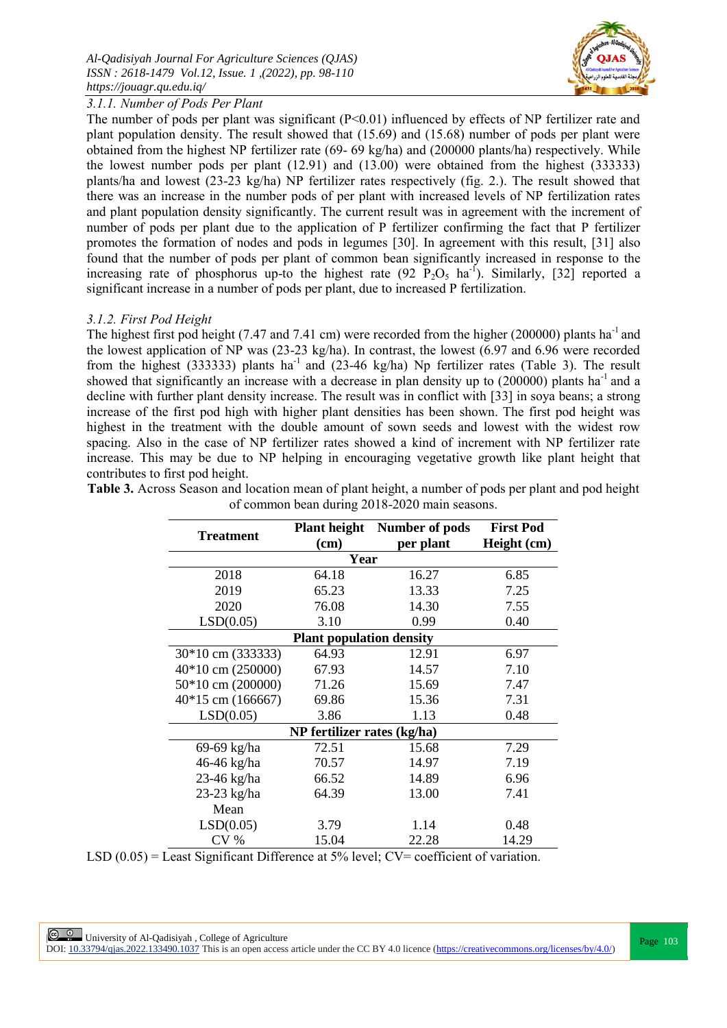

# *3.1.1. Number of Pods Per Plant*

The number of pods per plant was significant (P<0.01) influenced by effects of NP fertilizer rate and plant population density. The result showed that (15.69) and (15.68) number of pods per plant were obtained from the highest NP fertilizer rate (69- 69 kg/ha) and (200000 plants/ha) respectively. While the lowest number pods per plant (12.91) and (13.00) were obtained from the highest (333333) plants/ha and lowest (23-23 kg/ha) NP fertilizer rates respectively (fig. 2.). The result showed that there was an increase in the number pods of per plant with increased levels of NP fertilization rates and plant population density significantly. The current result was in agreement with the increment of number of pods per plant due to the application of P fertilizer confirming the fact that P fertilizer promotes the formation of nodes and pods in legumes [30]. In agreement with this result, [31] also found that the number of pods per plant of common bean significantly increased in response to the increasing rate of phosphorus up-to the highest rate  $(92 \text{ P}_2\text{O}_5 \text{ ha}^{-1})$ . Similarly,  $[32]$  reported a significant increase in a number of pods per plant, due to increased P fertilization.

# *3.1.2. First Pod Height*

The highest first pod height (7.47 and 7.41 cm) were recorded from the higher (200000) plants ha<sup>-1</sup> and the lowest application of NP was (23-23 kg/ha). In contrast, the lowest (6.97 and 6.96 were recorded from the highest (333333) plants ha<sup>-1</sup> and (23-46 kg/ha) Np fertilizer rates (Table 3). The result showed that significantly an increase with a decrease in plan density up to  $(200000)$  plants ha<sup>-1</sup> and a decline with further plant density increase. The result was in conflict with [33] in soya beans; a strong increase of the first pod high with higher plant densities has been shown. The first pod height was highest in the treatment with the double amount of sown seeds and lowest with the widest row spacing. Also in the case of NP fertilizer rates showed a kind of increment with NP fertilizer rate increase. This may be due to NP helping in encouraging vegetative growth like plant height that contributes to first pod height.

| <b>Treatment</b>      | <b>Plant height</b>             | Number of pods | <b>First Pod</b> |  |  |  |  |
|-----------------------|---------------------------------|----------------|------------------|--|--|--|--|
|                       | $(cm)$                          | per plant      | Height (cm)      |  |  |  |  |
|                       | Year                            |                |                  |  |  |  |  |
| 2018                  | 64.18                           | 16.27          | 6.85             |  |  |  |  |
| 2019                  | 65.23                           | 13.33          | 7.25             |  |  |  |  |
| 2020                  | 76.08                           | 14.30          | 7.55             |  |  |  |  |
| LSD(0.05)             | 3.10                            | 0.99           | 0.40             |  |  |  |  |
|                       | <b>Plant population density</b> |                |                  |  |  |  |  |
| 30*10 cm (333333)     | 64.93                           | 12.91          | 6.97             |  |  |  |  |
| $40*10$ cm $(250000)$ | 67.93                           | 14.57          | 7.10             |  |  |  |  |
| $50*10$ cm $(200000)$ | 71.26                           | 15.69          | 7.47             |  |  |  |  |
| $40*15$ cm $(166667)$ | 69.86                           | 15.36          | 7.31             |  |  |  |  |
| LSD(0.05)             | 3.86                            | 1.13           | 0.48             |  |  |  |  |
|                       | NP fertilizer rates (kg/ha)     |                |                  |  |  |  |  |
| 69-69 kg/ha           | 72.51                           | 15.68          | 7.29             |  |  |  |  |
| 46-46 kg/ha           | 70.57                           | 14.97          | 7.19             |  |  |  |  |
| 23-46 kg/ha           | 66.52                           | 14.89          | 6.96             |  |  |  |  |
| 23-23 kg/ha           | 64.39                           | 13.00          | 7.41             |  |  |  |  |
| Mean                  |                                 |                |                  |  |  |  |  |
| LSD(0.05)             | 3.79                            | 1.14           | 0.48             |  |  |  |  |
| CV <sub>0</sub>       | 15.04                           | 22.28          | 14.29            |  |  |  |  |

**Table 3.** Across Season and location mean of plant height, a number of pods per plant and pod height of common bean during 2018-2020 main seasons.

LSD (0.05) = Least Significant Difference at 5% level; CV= coefficient of variation.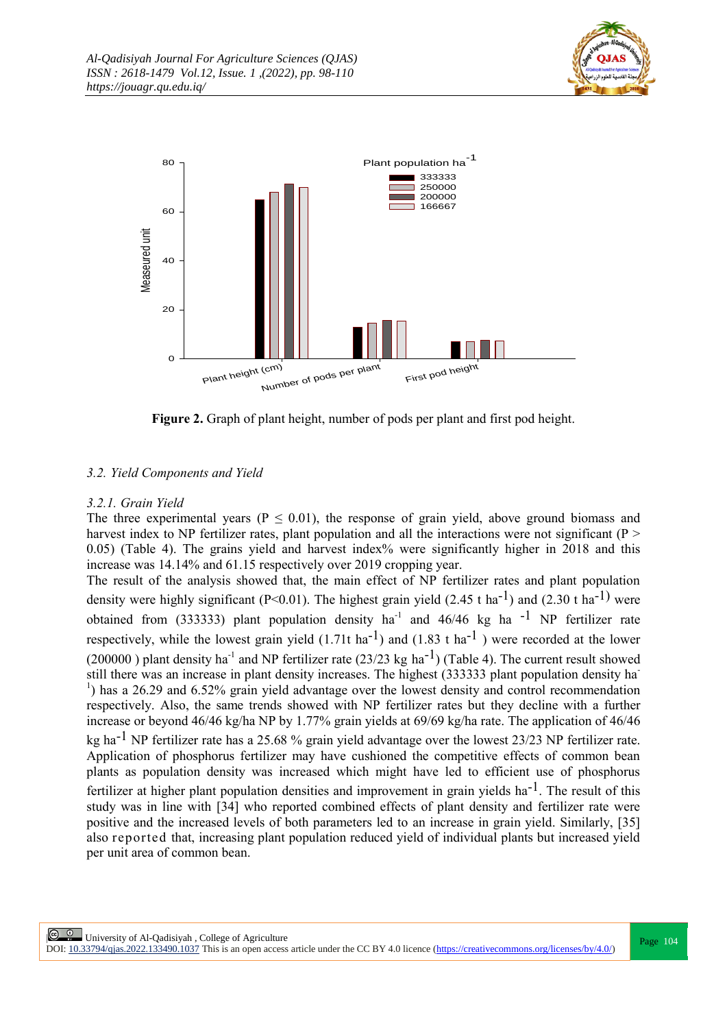



**Figure 2.** Graph of plant height, number of pods per plant and first pod height.

# *3.2. Yield Components and Yield*

# *3.2.1. Grain Yield*

The three experimental years ( $P \le 0.01$ ), the response of grain yield, above ground biomass and harvest index to NP fertilizer rates, plant population and all the interactions were not significant ( $P >$ 0.05) (Table 4). The grains yield and harvest index% were significantly higher in 2018 and this increase was 14.14% and 61.15 respectively over 2019 cropping year.

The result of the analysis showed that, the main effect of NP fertilizer rates and plant population density were highly significant (P<0.01). The highest grain yield (2.45 t ha<sup>-1</sup>) and (2.30 t ha<sup>-1)</sup> were obtained from (333333) plant population density ha<sup>-1</sup> and 46/46 kg ha<sup>-1</sup> NP fertilizer rate respectively, while the lowest grain yield  $(1.71t \text{ ha}^{-1})$  and  $(1.83 \text{ t} \text{ ha}^{-1})$  were recorded at the lower (200000) plant density ha<sup>-1</sup> and NP fertilizer rate (23/23 kg ha<sup>-1</sup>) (Table 4). The current result showed still there was an increase in plant density increases. The highest (333333 plant population density ha-<sup>1</sup>) has a 26.29 and 6.52% grain yield advantage over the lowest density and control recommendation respectively. Also, the same trends showed with NP fertilizer rates but they decline with a further increase or beyond 46/46 kg/ha NP by 1.77% grain yields at 69/69 kg/ha rate. The application of 46/46 kg ha-1 NP fertilizer rate has a 25.68 % grain yield advantage over the lowest 23/23 NP fertilizer rate. Application of phosphorus fertilizer may have cushioned the competitive effects of common bean plants as population density was increased which might have led to efficient use of phosphorus fertilizer at higher plant population densities and improvement in grain yields  $ha^{-1}$ . The result of this study was in line with [34] who reported combined effects of plant density and fertilizer rate were positive and the increased levels of both parameters led to an increase in grain yield. Similarly, [35] also reported that, increasing plant population reduced yield of individual plants but increased yield per unit area of common bean.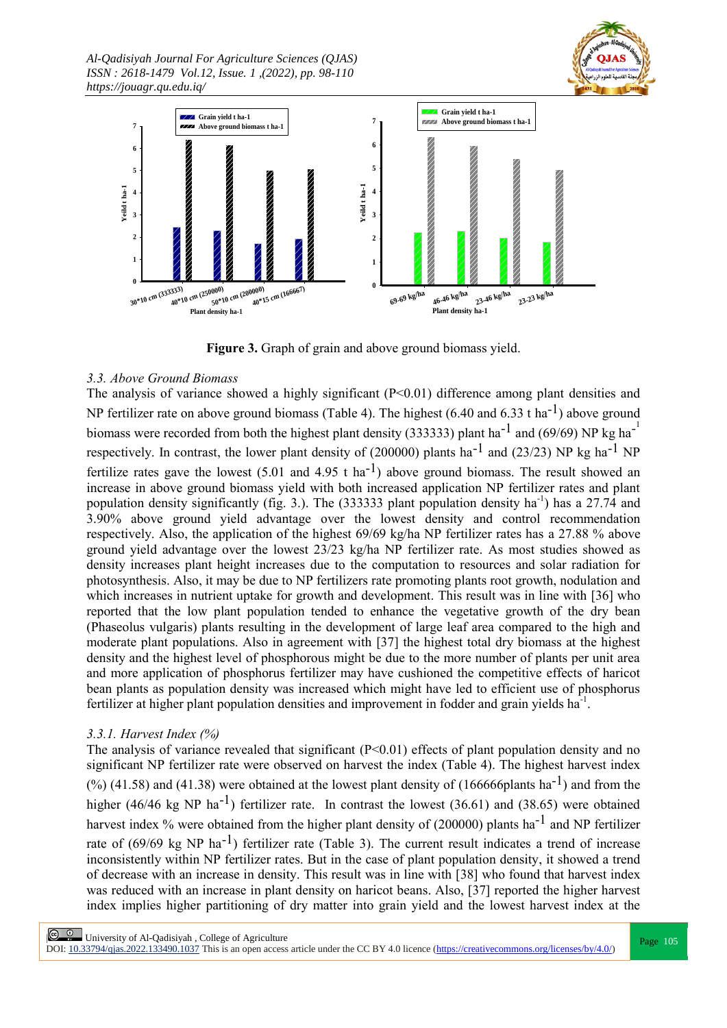*Al-Qadisiyah Journal For Agriculture Sciences (QJAS) ISSN : 2618-1479 Vol.12, Issue. 1 ,(2022), pp. 98-110 https://jouagr.qu.edu.iq/*





**Figure 3.** Graph of grain and above ground biomass yield.

# *3.3. Above Ground Biomass*

The analysis of variance showed a highly significant (P<0.01) difference among plant densities and NP fertilizer rate on above ground biomass (Table 4). The highest (6.40 and 6.33 t ha<sup>-1</sup>) above ground biomass were recorded from both the highest plant density (333333) plant ha<sup>-1</sup> and (69/69) NP kg ha<sup>-1</sup> respectively. In contrast, the lower plant density of (200000) plants ha<sup>-1</sup> and (23/23) NP kg ha<sup>-1</sup> NP fertilize rates gave the lowest  $(5.01 \text{ and } 4.95 \text{ t ha}^{-1})$  above ground biomass. The result showed an increase in above ground biomass yield with both increased application NP fertilizer rates and plant population density significantly (fig. 3.). The (333333 plant population density ha<sup>-1</sup>) has a 27.74 and 3.90% above ground yield advantage over the lowest density and control recommendation respectively. Also, the application of the highest 69/69 kg/ha NP fertilizer rates has a 27.88 % above ground yield advantage over the lowest 23/23 kg/ha NP fertilizer rate. As most studies showed as density increases plant height increases due to the computation to resources and solar radiation for photosynthesis. Also, it may be due to NP fertilizers rate promoting plants root growth, nodulation and which increases in nutrient uptake for growth and development. This result was in line with [36] who reported that the low plant population tended to enhance the vegetative growth of the dry bean (Phaseolus vulgaris) plants resulting in the development of large leaf area compared to the high and moderate plant populations. Also in agreement with [37] the highest total dry biomass at the highest density and the highest level of phosphorous might be due to the more number of plants per unit area and more application of phosphorus fertilizer may have cushioned the competitive effects of haricot bean plants as population density was increased which might have led to efficient use of phosphorus fertilizer at higher plant population densities and improvement in fodder and grain yields ha<sup>-1</sup>.

# *3.3.1. Harvest Index (%)*

The analysis of variance revealed that significant  $(P< 0.01)$  effects of plant population density and no significant NP fertilizer rate were observed on harvest the index (Table 4). The highest harvest index  $(%)$  (41.58) and (41.38) were obtained at the lowest plant density of (166666plants ha<sup>-1</sup>) and from the higher (46/46 kg NP ha<sup>-1</sup>) fertilizer rate. In contrast the lowest (36.61) and (38.65) were obtained harvest index % were obtained from the higher plant density of (200000) plants ha<sup>-1</sup> and NP fertilizer rate of  $(69/69 \text{ kg } NP \text{ ha}^{-1})$  fertilizer rate (Table 3). The current result indicates a trend of increase inconsistently within NP fertilizer rates. But in the case of plant population density, it showed a trend of decrease with an increase in density. This result was in line with [38] who found that harvest index was reduced with an increase in plant density on haricot beans. Also, [37] reported the higher harvest index implies higher partitioning of dry matter into grain yield and the lowest harvest index at the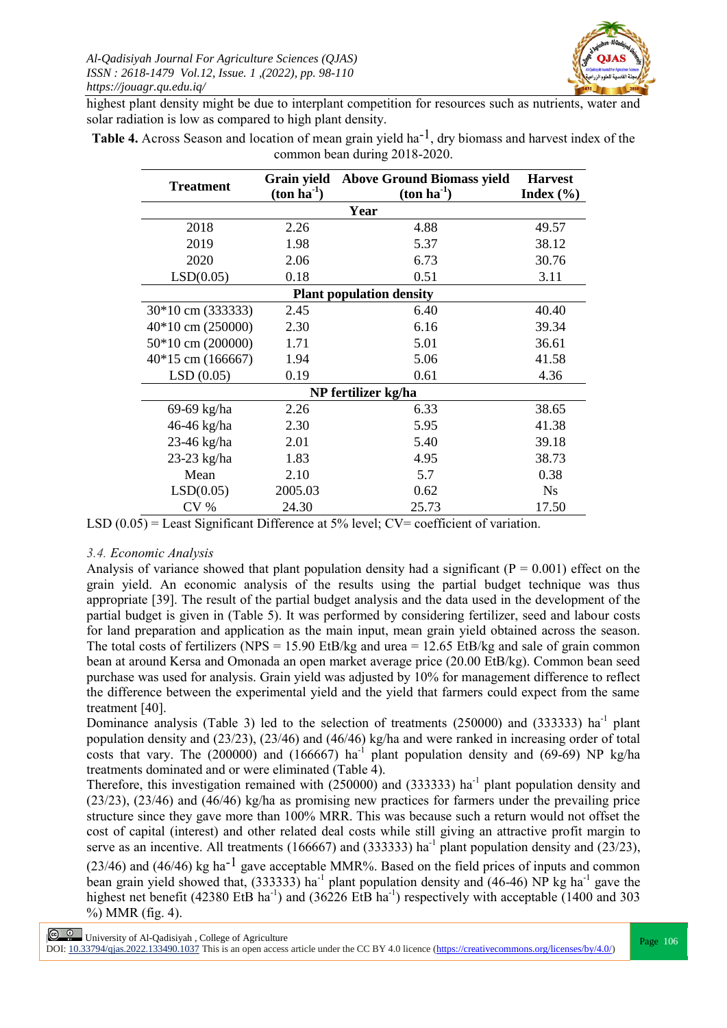

highest plant density might be due to interplant competition for resources such as nutrients, water and solar radiation is low as compared to high plant density.

| <b>Treatment</b>      | Grain yield<br><b>Above Ground Biomass yield</b><br>$(ton ha-1)$<br>$(ton ha-1)$ |                                 | <b>Harvest</b><br>Index $(\% )$ |  |  |
|-----------------------|----------------------------------------------------------------------------------|---------------------------------|---------------------------------|--|--|
|                       |                                                                                  | Year                            |                                 |  |  |
| 2018                  | 2.26                                                                             | 4.88                            | 49.57                           |  |  |
| 2019                  | 1.98                                                                             | 5.37                            | 38.12                           |  |  |
| 2020                  | 2.06                                                                             | 6.73                            | 30.76                           |  |  |
| LSD(0.05)             | 0.18                                                                             | 0.51                            | 3.11                            |  |  |
|                       |                                                                                  | <b>Plant population density</b> |                                 |  |  |
| 30*10 cm (333333)     | 2.45                                                                             | 6.40                            | 40.40                           |  |  |
| $40*10$ cm $(250000)$ | 2.30                                                                             | 6.16                            | 39.34                           |  |  |
| $50*10$ cm $(200000)$ | 1.71                                                                             | 5.01                            | 36.61                           |  |  |
| $40*15$ cm (166667)   | 1.94                                                                             | 5.06                            | 41.58                           |  |  |
| LSD(0.05)             | 0.19                                                                             | 0.61                            | 4.36                            |  |  |
| NP fertilizer kg/ha   |                                                                                  |                                 |                                 |  |  |
| 69-69 kg/ha           | 2.26                                                                             | 6.33                            | 38.65                           |  |  |
| 46-46 kg/ha           | 2.30                                                                             | 5.95                            | 41.38                           |  |  |
| 23-46 kg/ha           | 2.01                                                                             | 5.40                            | 39.18                           |  |  |
| 23-23 kg/ha           | 1.83                                                                             | 4.95                            | 38.73                           |  |  |
| Mean                  | 2.10                                                                             | 5.7                             | 0.38                            |  |  |
| LSD(0.05)             | 2005.03                                                                          | 0.62                            | <b>Ns</b>                       |  |  |
| CV <sub>%</sub>       | 24.30                                                                            | 25.73                           | 17.50                           |  |  |

**Table 4.** Across Season and location of mean grain yield ha<sup>-1</sup>, dry biomass and harvest index of the common bean during 2018-2020.

LSD  $(0.05)$  = Least Significant Difference at 5% level; CV= coefficient of variation.

## *3.4. Economic Analysis*

Analysis of variance showed that plant population density had a significant ( $P = 0.001$ ) effect on the grain yield. An economic analysis of the results using the partial budget technique was thus appropriate [39]. The result of the partial budget analysis and the data used in the development of the partial budget is given in (Table 5). It was performed by considering fertilizer, seed and labour costs for land preparation and application as the main input, mean grain yield obtained across the season. The total costs of fertilizers (NPS = 15.90 EtB/kg and urea = 12.65 EtB/kg and sale of grain common bean at around Kersa and Omonada an open market average price (20.00 EtB/kg). Common bean seed purchase was used for analysis. Grain yield was adjusted by 10% for management difference to reflect the difference between the experimental yield and the yield that farmers could expect from the same treatment [40].

Dominance analysis (Table 3) led to the selection of treatments  $(250000)$  and  $(333333)$  ha<sup>-1</sup> plant population density and (23/23), (23/46) and (46/46) kg/ha and were ranked in increasing order of total costs that vary. The  $(200000)$  and  $(166667)$  ha<sup>-1</sup> plant population density and  $(69-69)$  NP kg/ha treatments dominated and or were eliminated (Table 4).

Therefore, this investigation remained with  $(250000)$  and  $(333333)$  ha<sup>-1</sup> plant population density and (23/23), (23/46) and (46/46) kg/ha as promising new practices for farmers under the prevailing price structure since they gave more than 100% MRR. This was because such a return would not offset the cost of capital (interest) and other related deal costs while still giving an attractive profit margin to serve as an incentive. All treatments (166667) and (333333) ha<sup>-1</sup> plant population density and (23/23),

 $(23/46)$  and  $(46/46)$  kg ha<sup>-1</sup> gave acceptable MMR%. Based on the field prices of inputs and common bean grain yield showed that, (333333) ha<sup>-1</sup> plant population density and (46-46) NP kg ha<sup>-1</sup> gave the highest net benefit (42380 EtB ha<sup>-1</sup>) and (36226 EtB ha<sup>-1</sup>) respectively with acceptable (1400 and 303 %) MMR (fig. 4).

**Page 106** University of Al-Qadisiyah, College of Agriculture<br>
Report to 2003 100 1000 1000 FM is the state of Agriculture of the state of the state of the state of the state of the state of the state of the state of the s

DOI:  $10.33794/q$ jas.2022.133490.1037 This is an open access article under the CC BY 4.0 licence (https://creativecommons.org/licenses/by/4.0/)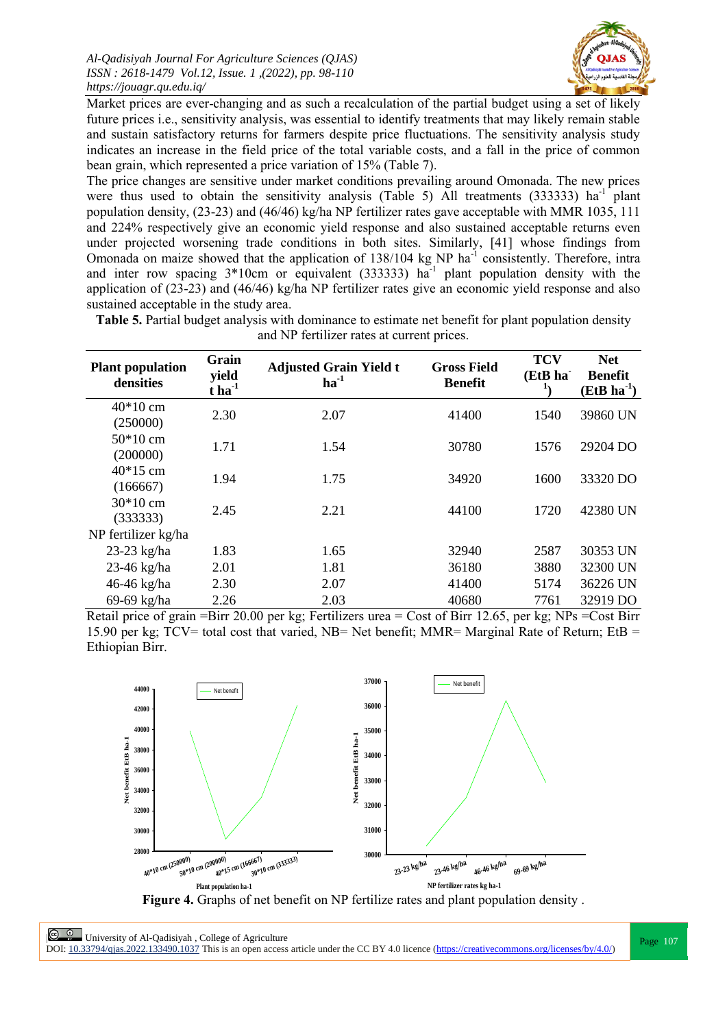

Market prices are ever-changing and as such a recalculation of the partial budget using a set of likely future prices i.e., sensitivity analysis, was essential to identify treatments that may likely remain stable and sustain satisfactory returns for farmers despite price fluctuations. The sensitivity analysis study indicates an increase in the field price of the total variable costs, and a fall in the price of common bean grain, which represented a price variation of 15% (Table 7).

The price changes are sensitive under market conditions prevailing around Omonada. The new prices were thus used to obtain the sensitivity analysis (Table 5) All treatments (333333) ha<sup>-1</sup> plant population density, (23-23) and (46/46) kg/ha NP fertilizer rates gave acceptable with MMR 1035, 111 and 224% respectively give an economic yield response and also sustained acceptable returns even under projected worsening trade conditions in both sites. Similarly, [41] whose findings from Omonada on maize showed that the application of 138/104 kg NP ha<sup>-1</sup> consistently. Therefore, intra and inter row spacing  $3*10$ cm or equivalent (333333) ha<sup>-1</sup> plant population density with the application of (23-23) and (46/46) kg/ha NP fertilizer rates give an economic yield response and also sustained acceptable in the study area.

| <b>Plant population</b><br>densities | Grain<br>yield<br>$t$ ha <sup>-1</sup> | <b>Adjusted Grain Yield t</b><br>$ha^{-1}$ | <b>Gross Field</b><br><b>Benefit</b> | <b>TCV</b><br>(EtB ha<br>T) | <b>Net</b><br><b>Benefit</b><br>$(EtB)$ ha <sup>-1</sup> ) |
|--------------------------------------|----------------------------------------|--------------------------------------------|--------------------------------------|-----------------------------|------------------------------------------------------------|
| $40*10$ cm<br>(250000)               | 2.30                                   | 2.07                                       | 41400                                | 1540                        | 39860 UN                                                   |
| $50*10$ cm<br>(200000)               | 1.71                                   | 1.54                                       | 30780                                | 1576                        | 29204 DO                                                   |
| $40*15$ cm<br>(166667)               | 1.94                                   | 1.75                                       | 34920                                | 1600                        | 33320 DO                                                   |
| $30*10$ cm<br>(333333)               | 2.45                                   | 2.21                                       | 44100                                | 1720                        | 42380 UN                                                   |
| NP fertilizer kg/ha                  |                                        |                                            |                                      |                             |                                                            |
| $23-23$ kg/ha                        | 1.83                                   | 1.65                                       | 32940                                | 2587                        | 30353 UN                                                   |
| 23-46 kg/ha                          | 2.01                                   | 1.81                                       | 36180                                | 3880                        | 32300 UN                                                   |
| 46-46 kg/ha                          | 2.30                                   | 2.07                                       | 41400                                | 5174                        | 36226 UN                                                   |
| 69-69 kg/ha                          | 2.26                                   | 2.03                                       | 40680                                | 7761                        | 32919 DO                                                   |

**Table 5.** Partial budget analysis with dominance to estimate net benefit for plant population density and NP fertilizer rates at current prices.

Retail price of grain =Birr 20.00 per kg; Fertilizers urea = Cost of Birr 12.65, per kg; NPs =Cost Birr 15.90 per kg; TCV= total cost that varied, NB= Net benefit; MMR= Marginal Rate of Return; EtB = Ethiopian Birr.



**Page 107**<br>
Page 107<br>
Page 107 DOI:  $10.33794/q$ jas.2022.133490.1037 This is an open access article under the CC BY 4.0 licence (https://creativecommons.org/licenses/by/4.0/)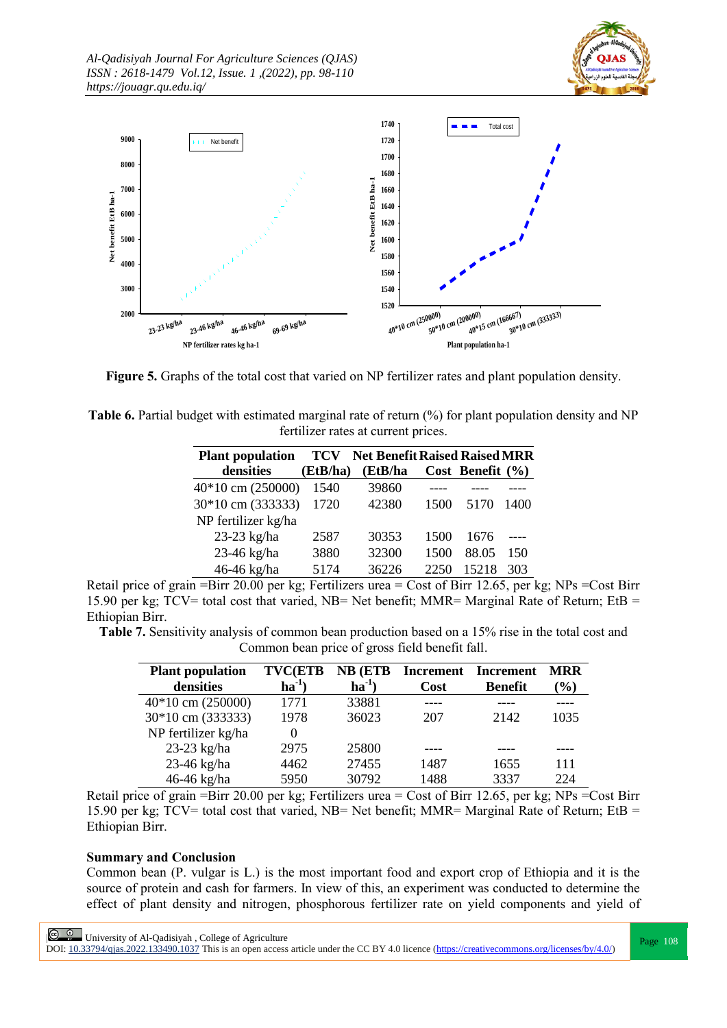



**Figure 5.** Graphs of the total cost that varied on NP fertilizer rates and plant population density.

| <b>Table 6.</b> Partial budget with estimated marginal rate of return (%) for plant population density and NP |
|---------------------------------------------------------------------------------------------------------------|
| fertilizer rates at current prices.                                                                           |

| <b>Plant population</b> | TCV      | <b>Net Benefit Raised Raised MRR</b> |      |                      |      |
|-------------------------|----------|--------------------------------------|------|----------------------|------|
| densities               | (EtB/ha) | (EtB/ha                              |      | Cost Benefit $(\% )$ |      |
| $40*10$ cm $(250000)$   | 1540     | 39860                                |      |                      |      |
| 30*10 cm (333333)       | 1720     | 42380                                | 1500 | 5170                 | 1400 |
| NP fertilizer kg/ha     |          |                                      |      |                      |      |
| 23-23 kg/ha             | 2587     | 30353                                | 1500 | 1676                 |      |
| 23-46 kg/ha             | 3880     | 32300                                | 1500 | 88.05                | 150  |
| 46-46 kg/ha             | 5174     | 36226                                | 2250 | 15218                | 303  |

Retail price of grain =Birr 20.00 per kg; Fertilizers urea = Cost of Birr 12.65, per kg; NPs =Cost Birr 15.90 per kg; TCV= total cost that varied, NB= Net benefit; MMR= Marginal Rate of Return; EtB = Ethiopian Birr.

**Table 7.** Sensitivity analysis of common bean production based on a 15% rise in the total cost and Common bean price of gross field benefit fall.

| <b>Plant population</b><br>densities | <b>TVC(ETB</b><br>ha <sup>-1</sup> | <b>NB</b> (ETB<br>$ha^{-1}$ | Increment<br>Cost | Increment<br><b>Benefit</b> | <b>MRR</b><br>$\mathcal{O}_0$ |
|--------------------------------------|------------------------------------|-----------------------------|-------------------|-----------------------------|-------------------------------|
| $40*10$ cm $(250000)$                | 1771                               | 33881                       |                   |                             |                               |
| 30*10 cm (333333)                    | 1978                               | 36023                       | 207               | 2142                        | 1035                          |
| NP fertilizer kg/ha                  |                                    |                             |                   |                             |                               |
| 23-23 kg/ha                          | 2975                               | 25800                       |                   |                             |                               |
| 23-46 kg/ha                          | 4462                               | 27455                       | 1487              | 1655                        | 111                           |
| 46-46 kg/ha                          | 5950                               | 30792                       | 1488              | 3337                        | 224                           |

Retail price of grain =Birr 20.00 per kg; Fertilizers urea = Cost of Birr 12.65, per kg; NPs =Cost Birr 15.90 per kg; TCV= total cost that varied, NB= Net benefit; MMR= Marginal Rate of Return; EtB = Ethiopian Birr.

## **Summary and Conclusion**

Common bean (P. vulgar is L.) is the most important food and export crop of Ethiopia and it is the source of protein and cash for farmers. In view of this, an experiment was conducted to determine the effect of plant density and nitrogen, phosphorous fertilizer rate on yield components and yield of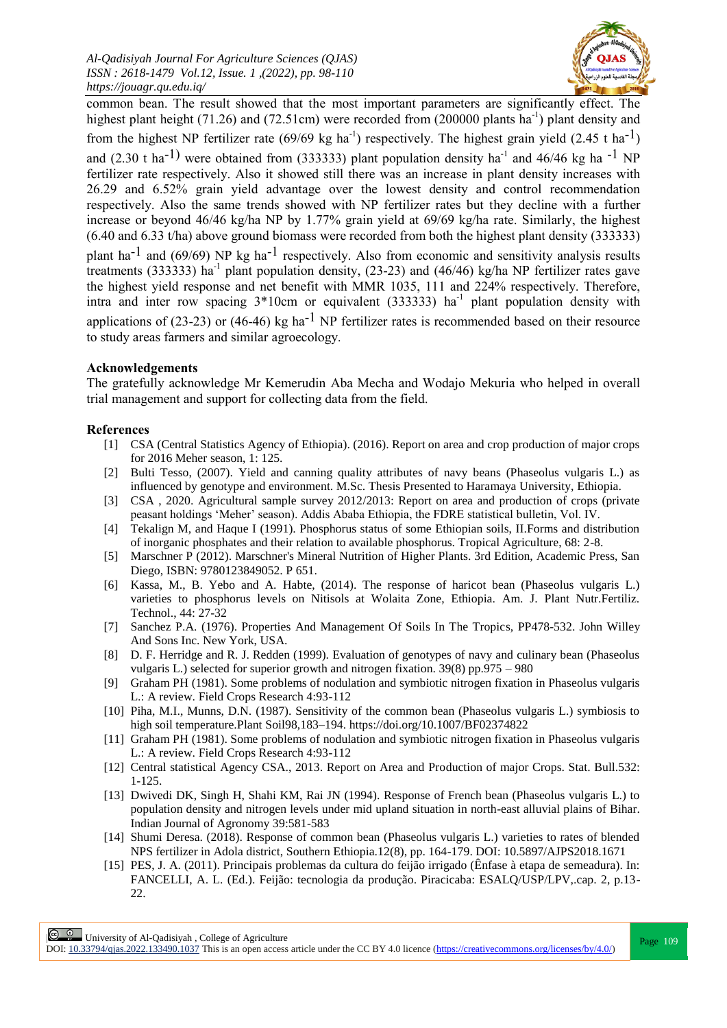

common bean. The result showed that the most important parameters are significantly effect. The highest plant height (71.26) and (72.51cm) were recorded from (200000 plants ha<sup>-1</sup>) plant density and from the highest NP fertilizer rate (69/69 kg ha<sup>-1</sup>) respectively. The highest grain yield (2.45 t ha<sup>-1</sup>) and (2.30 t ha<sup>-1)</sup> were obtained from (333333) plant population density ha<sup>-1</sup> and 46/46 kg ha<sup>-1</sup> NP fertilizer rate respectively. Also it showed still there was an increase in plant density increases with 26.29 and 6.52% grain yield advantage over the lowest density and control recommendation respectively. Also the same trends showed with NP fertilizer rates but they decline with a further increase or beyond 46/46 kg/ha NP by 1.77% grain yield at 69/69 kg/ha rate. Similarly, the highest (6.40 and 6.33 t/ha) above ground biomass were recorded from both the highest plant density (333333) plant ha<sup>-1</sup> and (69/69) NP kg ha<sup>-1</sup> respectively. Also from economic and sensitivity analysis results treatments (333333) ha<sup>-1</sup> plant population density, (23-23) and (46/46) kg/ha NP fertilizer rates gave the highest yield response and net benefit with MMR 1035, 111 and 224% respectively. Therefore, intra and inter row spacing  $3*10$ cm or equivalent (333333) ha<sup>-1</sup> plant population density with applications of (23-23) or (46-46) kg ha<sup>-1</sup> NP fertilizer rates is recommended based on their resource to study areas farmers and similar agroecology.

## **Acknowledgements**

The gratefully acknowledge Mr Kemerudin Aba Mecha and Wodajo Mekuria who helped in overall trial management and support for collecting data from the field.

## **References**

- [1] CSA (Central Statistics Agency of Ethiopia). (2016). Report on area and crop production of major crops for 2016 Meher season, 1: 125.
- [2] Bulti Tesso, (2007). Yield and canning quality attributes of navy beans (Phaseolus vulgaris L.) as influenced by genotype and environment. M.Sc. Thesis Presented to Haramaya University, Ethiopia.
- [3] CSA , 2020. Agricultural sample survey 2012/2013: Report on area and production of crops (private peasant holdings 'Meher' season). Addis Ababa Ethiopia, the FDRE statistical bulletin, Vol. IV.
- [4] Tekalign M, and Haque I (1991). Phosphorus status of some Ethiopian soils, II.Forms and distribution of inorganic phosphates and their relation to available phosphorus. Tropical Agriculture, 68: 2-8.
- [5] Marschner P (2012). Marschner's Mineral Nutrition of Higher Plants. 3rd Edition, Academic Press, San Diego, ISBN: 9780123849052. P 651.
- [6] Kassa, M., B. Yebo and A. Habte, (2014). The response of haricot bean (Phaseolus vulgaris L.) varieties to phosphorus levels on Nitisols at Wolaita Zone, Ethiopia. Am. J. Plant Nutr.Fertiliz. Technol., 44: 27-32
- [7] Sanchez P.A. (1976). Properties And Management Of Soils In The Tropics, PP478-532. John Willey And Sons Inc. New York, USA.
- [8] D. F. Herridge and R. J. Redden (1999). Evaluation of genotypes of navy and culinary bean (Phaseolus vulgaris L.) selected for superior growth and nitrogen fixation. 39(8) pp.975 – 980
- [9] Graham PH (1981). Some problems of nodulation and symbiotic nitrogen fixation in Phaseolus vulgaris L.: A review. Field Crops Research 4:93-112
- [10] Piha, M.I., Munns, D.N. (1987). Sensitivity of the common bean (Phaseolus vulgaris L.) symbiosis to high soil temperature.Plant Soil98,183–194. https://doi.org/10.1007/BF02374822
- [11] Graham PH (1981). Some problems of nodulation and symbiotic nitrogen fixation in Phaseolus vulgaris L.: A review. Field Crops Research 4:93-112
- [12] Central statistical Agency CSA., 2013. Report on Area and Production of major Crops. Stat. Bull.532: 1-125.
- [13] Dwivedi DK, Singh H, Shahi KM, Rai JN (1994). Response of French bean (Phaseolus vulgaris L.) to population density and nitrogen levels under mid upland situation in north-east alluvial plains of Bihar. Indian Journal of Agronomy 39:581-583
- [14] Shumi Deresa. (2018). Response of common bean (Phaseolus vulgaris L.) varieties to rates of blended NPS fertilizer in Adola district, Southern Ethiopia.12(8), pp. 164-179. DOI: 10.5897/AJPS2018.1671
- [15] PES, J. A. (2011). Principais problemas da cultura do feijão irrigado (Ênfase à etapa de semeadura). In: FANCELLI, A. L. (Ed.). Feijão: tecnologia da produção. Piracicaba: ESALQ/USP/LPV,.cap. 2, p.13- 22.

**Page 109**<br>
Page 109<br>
Records the core to 2000 1000 Page 109<br>
Page 109

DOI:  $10.33794/q$ jas.2022.133490.1037 This is an open access article under the CC BY 4.0 licence (https://creativecommons.org/licenses/by/4.0/)